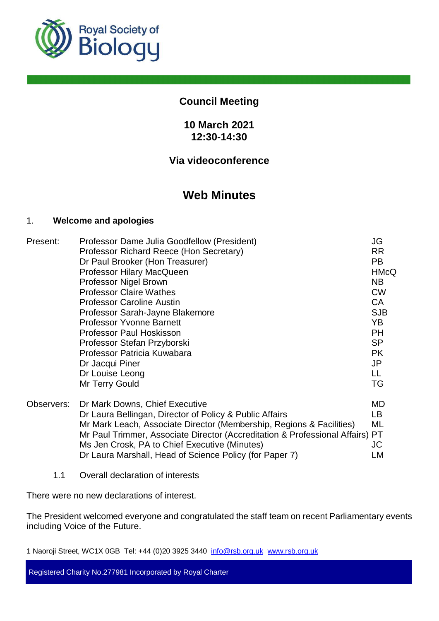

# **Council Meeting**

# **10 March 2021 12:30-14:30**

# **Via videoconference**

# **Web Minutes**

## 1. **Welcome and apologies**

| Present:   | Professor Dame Julia Goodfellow (President)                                | JG          |
|------------|----------------------------------------------------------------------------|-------------|
|            | Professor Richard Reece (Hon Secretary)                                    | <b>RR</b>   |
|            | Dr Paul Brooker (Hon Treasurer)                                            | <b>PB</b>   |
|            | Professor Hilary MacQueen                                                  | <b>HMcQ</b> |
|            | Professor Nigel Brown                                                      | <b>NB</b>   |
|            | <b>Professor Claire Wathes</b>                                             | <b>CW</b>   |
|            | <b>Professor Caroline Austin</b>                                           | <b>CA</b>   |
|            | Professor Sarah-Jayne Blakemore                                            | <b>SJB</b>  |
|            | <b>Professor Yvonne Barnett</b>                                            | YB.         |
|            | <b>Professor Paul Hoskisson</b>                                            | <b>PH</b>   |
|            | Professor Stefan Przyborski                                                | <b>SP</b>   |
|            | Professor Patricia Kuwabara                                                | <b>PK</b>   |
|            | Dr Jacqui Piner                                                            | JP          |
|            | Dr Louise Leong                                                            | LL          |
|            | Mr Terry Gould                                                             | TG          |
| Observers: | Dr Mark Downs, Chief Executive                                             | MD          |
|            | Dr Laura Bellingan, Director of Policy & Public Affairs                    | LB.         |
|            | Mr Mark Leach, Associate Director (Membership, Regions & Facilities)       | ML          |
|            | Mr Paul Trimmer, Associate Director (Accreditation & Professional Affairs) | PT          |
|            | Ms Jen Crosk, PA to Chief Executive (Minutes)                              | JC          |
|            | Dr Laura Marshall, Head of Science Policy (for Paper 7)                    | LM          |

1.1 Overall declaration of interests

There were no new declarations of interest.

The President welcomed everyone and congratulated the staff team on recent Parliamentary events including Voice of the Future.

1 Naoroji Street, WC1X 0GB Tel: +44 (0)20 3925 3440 info@rsb.org.uk www.rsb.org.uk

Registered Charity No.277981 Incorporated by Royal Charter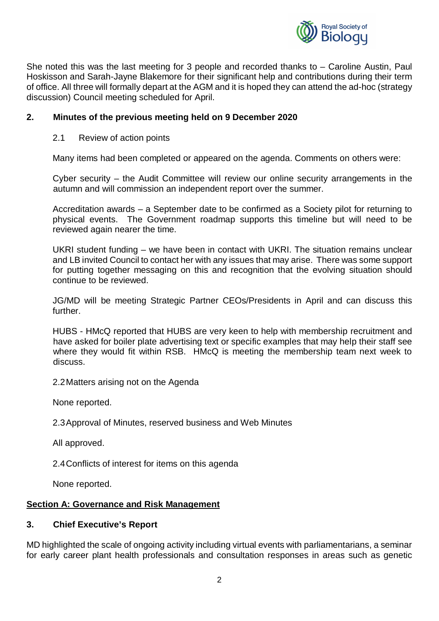

She noted this was the last meeting for 3 people and recorded thanks to – Caroline Austin, Paul Hoskisson and Sarah-Jayne Blakemore for their significant help and contributions during their term of office. All three will formally depart at the AGM and it is hoped they can attend the ad-hoc (strategy discussion) Council meeting scheduled for April.

## **2. Minutes of the previous meeting held on 9 December 2020**

## 2.1 Review of action points

Many items had been completed or appeared on the agenda. Comments on others were:

Cyber security – the Audit Committee will review our online security arrangements in the autumn and will commission an independent report over the summer.

Accreditation awards – a September date to be confirmed as a Society pilot for returning to physical events. The Government roadmap supports this timeline but will need to be reviewed again nearer the time.

UKRI student funding – we have been in contact with UKRI. The situation remains unclear and LB invited Council to contact her with any issues that may arise. There was some support for putting together messaging on this and recognition that the evolving situation should continue to be reviewed.

JG/MD will be meeting Strategic Partner CEOs/Presidents in April and can discuss this further.

HUBS - HMcQ reported that HUBS are very keen to help with membership recruitment and have asked for boiler plate advertising text or specific examples that may help their staff see where they would fit within RSB. HMcQ is meeting the membership team next week to discuss.

2.2 Matters arising not on the Agenda

None reported.

2.3 Approval of Minutes, reserved business and Web Minutes

All approved.

2.4 Conflicts of interest for items on this agenda

None reported.

## **Section A: Governance and Risk Management**

#### **3. Chief Executive's Report**

MD highlighted the scale of ongoing activity including virtual events with parliamentarians, a seminar for early career plant health professionals and consultation responses in areas such as genetic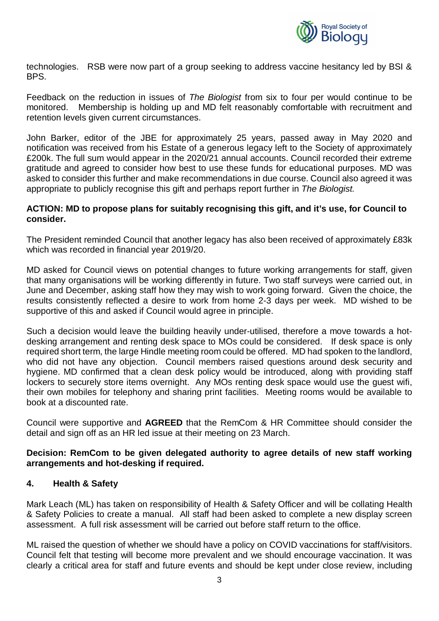

technologies. RSB were now part of a group seeking to address vaccine hesitancy led by BSI & BPS.

Feedback on the reduction in issues of *The Biologist* from six to four per would continue to be monitored. Membership is holding up and MD felt reasonably comfortable with recruitment and retention levels given current circumstances.

John Barker, editor of the JBE for approximately 25 years, passed away in May 2020 and notification was received from his Estate of a generous legacy left to the Society of approximately £200k. The full sum would appear in the 2020/21 annual accounts. Council recorded their extreme gratitude and agreed to consider how best to use these funds for educational purposes. MD was asked to consider this further and make recommendations in due course. Council also agreed it was appropriate to publicly recognise this gift and perhaps report further in *The Biologist.*

#### **ACTION: MD to propose plans for suitably recognising this gift, and it's use, for Council to consider.**

The President reminded Council that another legacy has also been received of approximately £83k which was recorded in financial year 2019/20.

MD asked for Council views on potential changes to future working arrangements for staff, given that many organisations will be working differently in future. Two staff surveys were carried out, in June and December, asking staff how they may wish to work going forward. Given the choice, the results consistently reflected a desire to work from home 2-3 days per week. MD wished to be supportive of this and asked if Council would agree in principle.

Such a decision would leave the building heavily under-utilised, therefore a move towards a hotdesking arrangement and renting desk space to MOs could be considered. If desk space is only required short term, the large Hindle meeting room could be offered. MD had spoken to the landlord, who did not have any objection. Council members raised questions around desk security and hygiene. MD confirmed that a clean desk policy would be introduced, along with providing staff lockers to securely store items overnight. Any MOs renting desk space would use the guest wifi, their own mobiles for telephony and sharing print facilities. Meeting rooms would be available to book at a discounted rate.

Council were supportive and **AGREED** that the RemCom & HR Committee should consider the detail and sign off as an HR led issue at their meeting on 23 March.

#### **Decision: RemCom to be given delegated authority to agree details of new staff working arrangements and hot-desking if required.**

#### **4. Health & Safety**

Mark Leach (ML) has taken on responsibility of Health & Safety Officer and will be collating Health & Safety Policies to create a manual. All staff had been asked to complete a new display screen assessment. A full risk assessment will be carried out before staff return to the office.

ML raised the question of whether we should have a policy on COVID vaccinations for staff/visitors. Council felt that testing will become more prevalent and we should encourage vaccination. It was clearly a critical area for staff and future events and should be kept under close review, including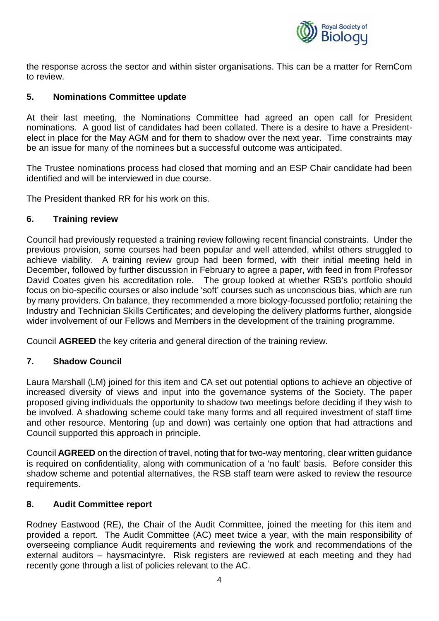

the response across the sector and within sister organisations. This can be a matter for RemCom to review.

# **5. Nominations Committee update**

At their last meeting, the Nominations Committee had agreed an open call for President nominations. A good list of candidates had been collated. There is a desire to have a Presidentelect in place for the May AGM and for them to shadow over the next year. Time constraints may be an issue for many of the nominees but a successful outcome was anticipated.

The Trustee nominations process had closed that morning and an ESP Chair candidate had been identified and will be interviewed in due course.

The President thanked RR for his work on this.

#### **6. Training review**

Council had previously requested a training review following recent financial constraints. Under the previous provision, some courses had been popular and well attended, whilst others struggled to achieve viability. A training review group had been formed, with their initial meeting held in December, followed by further discussion in February to agree a paper, with feed in from Professor David Coates given his accreditation role. The group looked at whether RSB's portfolio should focus on bio-specific courses or also include 'soft' courses such as unconscious bias, which are run by many providers. On balance, they recommended a more biology-focussed portfolio; retaining the Industry and Technician Skills Certificates; and developing the delivery platforms further, alongside wider involvement of our Fellows and Members in the development of the training programme.

Council **AGREED** the key criteria and general direction of the training review.

#### **7. Shadow Council**

Laura Marshall (LM) joined for this item and CA set out potential options to achieve an objective of increased diversity of views and input into the governance systems of the Society. The paper proposed giving individuals the opportunity to shadow two meetings before deciding if they wish to be involved. A shadowing scheme could take many forms and all required investment of staff time and other resource. Mentoring (up and down) was certainly one option that had attractions and Council supported this approach in principle.

Council **AGREED** on the direction of travel, noting that for two-way mentoring, clear written guidance is required on confidentiality, along with communication of a 'no fault' basis. Before consider this shadow scheme and potential alternatives, the RSB staff team were asked to review the resource requirements.

#### **8. Audit Committee report**

Rodney Eastwood (RE), the Chair of the Audit Committee, joined the meeting for this item and provided a report. The Audit Committee (AC) meet twice a year, with the main responsibility of overseeing compliance Audit requirements and reviewing the work and recommendations of the external auditors – haysmacintyre. Risk registers are reviewed at each meeting and they had recently gone through a list of policies relevant to the AC.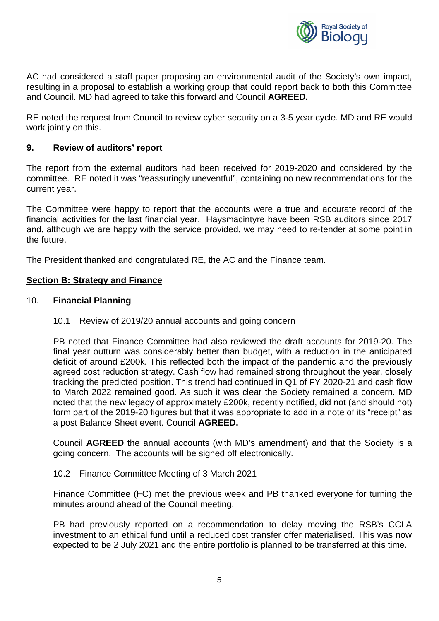

AC had considered a staff paper proposing an environmental audit of the Society's own impact, resulting in a proposal to establish a working group that could report back to both this Committee and Council. MD had agreed to take this forward and Council **AGREED.**

RE noted the request from Council to review cyber security on a 3-5 year cycle. MD and RE would work jointly on this.

#### **9. Review of auditors' report**

The report from the external auditors had been received for 2019-2020 and considered by the committee. RE noted it was "reassuringly uneventful", containing no new recommendations for the current year.

The Committee were happy to report that the accounts were a true and accurate record of the financial activities for the last financial year. Haysmacintyre have been RSB auditors since 2017 and, although we are happy with the service provided, we may need to re-tender at some point in the future.

The President thanked and congratulated RE, the AC and the Finance team.

#### **Section B: Strategy and Finance**

#### 10. **Financial Planning**

10.1 Review of 2019/20 annual accounts and going concern

PB noted that Finance Committee had also reviewed the draft accounts for 2019-20. The final year outturn was considerably better than budget, with a reduction in the anticipated deficit of around £200k. This reflected both the impact of the pandemic and the previously agreed cost reduction strategy. Cash flow had remained strong throughout the year, closely tracking the predicted position. This trend had continued in Q1 of FY 2020-21 and cash flow to March 2022 remained good. As such it was clear the Society remained a concern. MD noted that the new legacy of approximately £200k, recently notified, did not (and should not) form part of the 2019-20 figures but that it was appropriate to add in a note of its "receipt" as a post Balance Sheet event. Council **AGREED.**

Council **AGREED** the annual accounts (with MD's amendment) and that the Society is a going concern. The accounts will be signed off electronically.

10.2 Finance Committee Meeting of 3 March 2021

Finance Committee (FC) met the previous week and PB thanked everyone for turning the minutes around ahead of the Council meeting.

PB had previously reported on a recommendation to delay moving the RSB's CCLA investment to an ethical fund until a reduced cost transfer offer materialised. This was now expected to be 2 July 2021 and the entire portfolio is planned to be transferred at this time.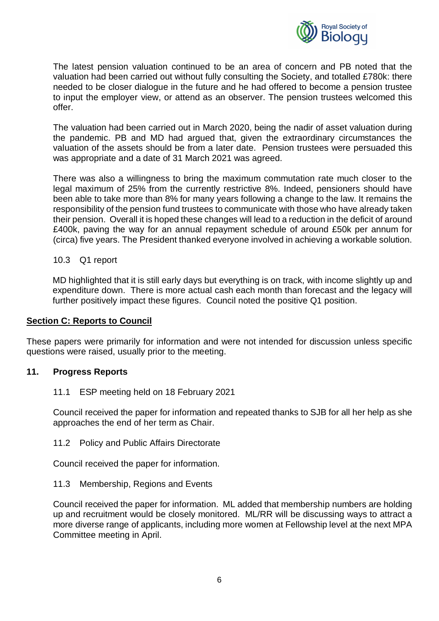

The latest pension valuation continued to be an area of concern and PB noted that the valuation had been carried out without fully consulting the Society, and totalled £780k: there needed to be closer dialogue in the future and he had offered to become a pension trustee to input the employer view, or attend as an observer. The pension trustees welcomed this offer.

The valuation had been carried out in March 2020, being the nadir of asset valuation during the pandemic. PB and MD had argued that, given the extraordinary circumstances the valuation of the assets should be from a later date. Pension trustees were persuaded this was appropriate and a date of 31 March 2021 was agreed.

There was also a willingness to bring the maximum commutation rate much closer to the legal maximum of 25% from the currently restrictive 8%. Indeed, pensioners should have been able to take more than 8% for many years following a change to the law. It remains the responsibility of the pension fund trustees to communicate with those who have already taken their pension. Overall it is hoped these changes will lead to a reduction in the deficit of around £400k, paving the way for an annual repayment schedule of around £50k per annum for (circa) five years. The President thanked everyone involved in achieving a workable solution.

#### 10.3 Q1 report

MD highlighted that it is still early days but everything is on track, with income slightly up and expenditure down. There is more actual cash each month than forecast and the legacy will further positively impact these figures. Council noted the positive Q1 position.

#### **Section C: Reports to Council**

These papers were primarily for information and were not intended for discussion unless specific questions were raised, usually prior to the meeting.

#### **11. Progress Reports**

#### 11.1 ESP meeting held on 18 February 2021

Council received the paper for information and repeated thanks to SJB for all her help as she approaches the end of her term as Chair.

11.2 Policy and Public Affairs Directorate

Council received the paper for information.

#### 11.3 Membership, Regions and Events

Council received the paper for information. ML added that membership numbers are holding up and recruitment would be closely monitored. ML/RR will be discussing ways to attract a more diverse range of applicants, including more women at Fellowship level at the next MPA Committee meeting in April.